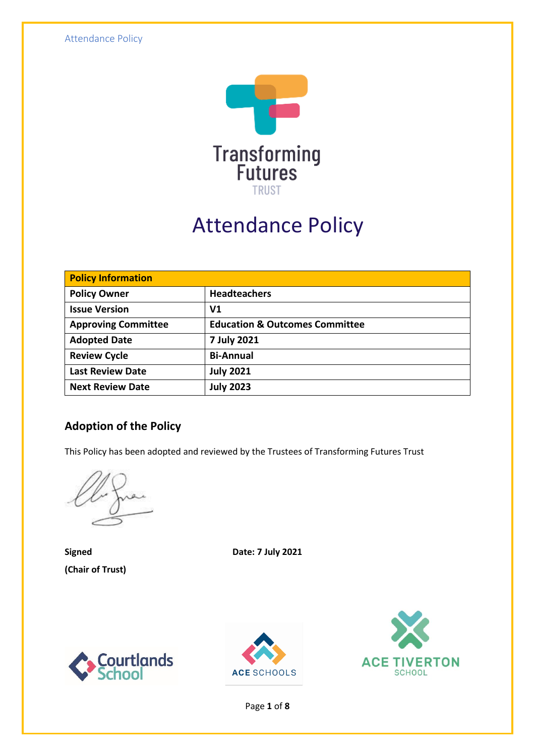

# Attendance Policy

| <b>Policy Information</b>  |                                           |  |
|----------------------------|-------------------------------------------|--|
| <b>Policy Owner</b>        | <b>Headteachers</b>                       |  |
| <b>Issue Version</b>       | V <sub>1</sub>                            |  |
| <b>Approving Committee</b> | <b>Education &amp; Outcomes Committee</b> |  |
| <b>Adopted Date</b>        | 7 July 2021                               |  |
| <b>Review Cycle</b>        | <b>Bi-Annual</b>                          |  |
| <b>Last Review Date</b>    | <b>July 2021</b>                          |  |
| <b>Next Review Date</b>    | <b>July 2023</b>                          |  |

### **Adoption of the Policy**

This Policy has been adopted and reviewed by the Trustees of Transforming Futures Trust

**(Chair of Trust)**

**Signed Date: 7 July 2021**







Page **1** of **8**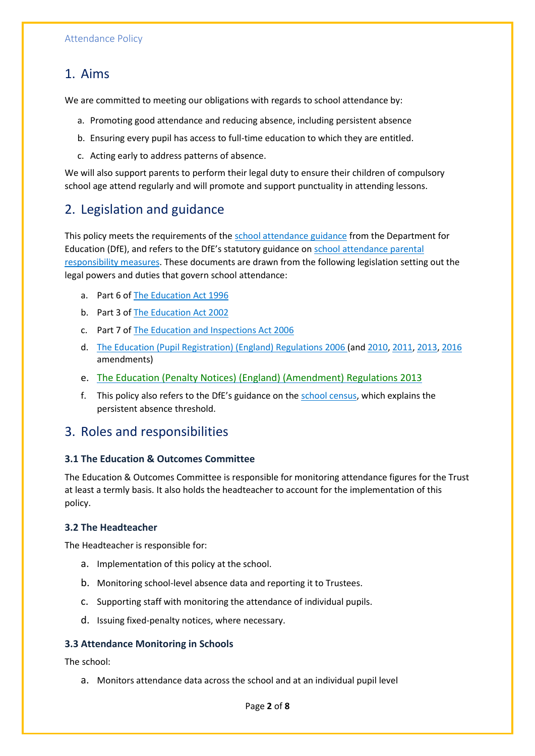### 1. Aims

We are committed to meeting our obligations with regards to school attendance by:

- a. Promoting good attendance and reducing absence, including persistent absence
- b. Ensuring every pupil has access to full-time education to which they are entitled.
- c. Acting early to address patterns of absence.

We will also support parents to perform their legal duty to ensure their children of compulsory school age attend regularly and will promote and support punctuality in attending lessons.

### 2. Legislation and guidance

This policy meets the requirements of the [school attendance guidance](https://www.gov.uk/government/publications/school-attendance) from the Department for Education (DfE), and refers to the DfE's statutory guidance on [school attendance parental](https://www.gov.uk/government/publications/parental-responsibility-measures-for-behaviour-and-attendance)  [responsibility measures.](https://www.gov.uk/government/publications/parental-responsibility-measures-for-behaviour-and-attendance) These documents are drawn from the following legislation setting out the legal powers and duties that govern school attendance:

- a. Part 6 o[f The Education Act 1996](https://www.legislation.gov.uk/ukpga/1996/56/part/VI/chapter/II)
- b. Part 3 o[f The Education Act 2002](http://www.legislation.gov.uk/ukpga/2002/32/part/3/chapter/3)
- c. Part 7 o[f The Education and Inspections Act 2006](http://www.legislation.gov.uk/ukpga/2006/40/part/7/chapter/2/crossheading/school-attendance)
- d. [The Education \(Pupil Registration\) \(England\) Regulations 2006](http://www.legislation.gov.uk/uksi/2006/1751/contents/made) (and [2010,](https://www.legislation.gov.uk/uksi/2010/1725/regulation/2/made) [2011,](https://www.legislation.gov.uk/uksi/2011/1625/made) [2013,](https://www.legislation.gov.uk/uksi/2013/756/made) [2016](https://www.legislation.gov.uk/uksi/2016/792/made/data.html) amendments)
- e. [The Education \(Penalty Notices\) \(England\) \(Amendment\) Regulations 2013](https://www.legislation.gov.uk/uksi/2013/757/regulation/2/made)
- f. This policy also refers to the DfE's guidance on the [school census,](https://www.gov.uk/guidance/complete-the-school-census) which explains the persistent absence threshold.

### 3. Roles and responsibilities

#### **3.1 The Education & Outcomes Committee**

The Education & Outcomes Committee is responsible for monitoring attendance figures for the Trust at least a termly basis. It also holds the headteacher to account for the implementation of this policy.

#### **3.2 The Headteacher**

The Headteacher is responsible for:

- a. Implementation of this policy at the school.
- b. Monitoring school-level absence data and reporting it to Trustees.
- c. Supporting staff with monitoring the attendance of individual pupils.
- d. Issuing fixed-penalty notices, where necessary.

#### **3.3 Attendance Monitoring in Schools**

The school:

a. Monitors attendance data across the school and at an individual pupil level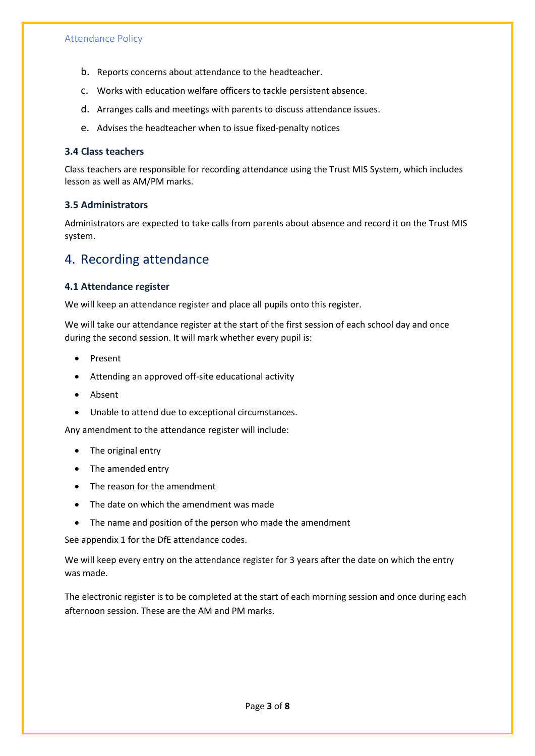- b. Reports concerns about attendance to the headteacher.
- c. Works with education welfare officers to tackle persistent absence.
- d. Arranges calls and meetings with parents to discuss attendance issues.
- e. Advises the headteacher when to issue fixed-penalty notices

#### **3.4 Class teachers**

Class teachers are responsible for recording attendance using the Trust MIS System, which includes lesson as well as AM/PM marks.

#### **3.5 Administrators**

Administrators are expected to take calls from parents about absence and record it on the Trust MIS system.

### 4. Recording attendance

#### **4.1 Attendance register**

We will keep an attendance register and place all pupils onto this register.

We will take our attendance register at the start of the first session of each school day and once during the second session. It will mark whether every pupil is:

- Present
- Attending an approved off-site educational activity
- Absent
- Unable to attend due to exceptional circumstances.

Any amendment to the attendance register will include:

- The original entry
- The amended entry
- The reason for the amendment
- The date on which the amendment was made
- The name and position of the person who made the amendment

See appendix 1 for the DfE attendance codes.

We will keep every entry on the attendance register for 3 years after the date on which the entry was made.

The electronic register is to be completed at the start of each morning session and once during each afternoon session. These are the AM and PM marks.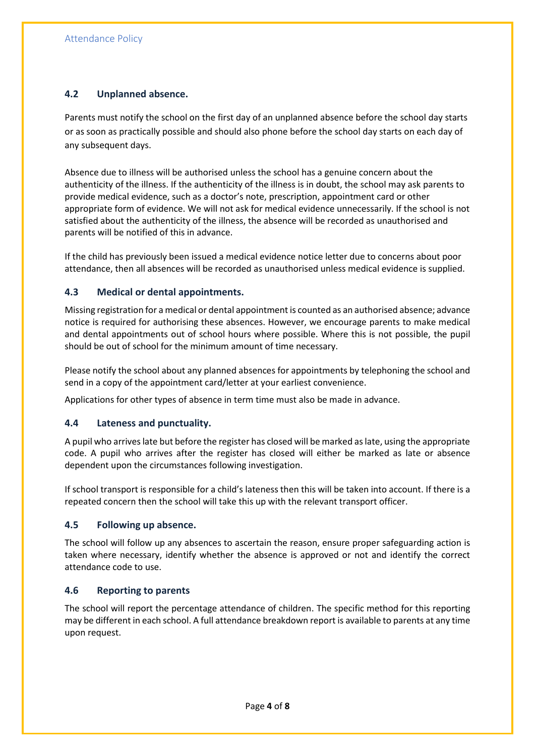#### **4.2 Unplanned absence.**

Parents must notify the school on the first day of an unplanned absence before the school day starts or as soon as practically possible and should also phone before the school day starts on each day of any subsequent days.

Absence due to illness will be authorised unless the school has a genuine concern about the authenticity of the illness. If the authenticity of the illness is in doubt, the school may ask parents to provide medical evidence, such as a doctor's note, prescription, appointment card or other appropriate form of evidence. We will not ask for medical evidence unnecessarily. If the school is not satisfied about the authenticity of the illness, the absence will be recorded as unauthorised and parents will be notified of this in advance.

If the child has previously been issued a medical evidence notice letter due to concerns about poor attendance, then all absences will be recorded as unauthorised unless medical evidence is supplied.

#### **4.3 Medical or dental appointments.**

Missing registration for a medical or dental appointment is counted as an authorised absence; advance notice is required for authorising these absences. However, we encourage parents to make medical and dental appointments out of school hours where possible. Where this is not possible, the pupil should be out of school for the minimum amount of time necessary.

Please notify the school about any planned absences for appointments by telephoning the school and send in a copy of the appointment card/letter at your earliest convenience.

Applications for other types of absence in term time must also be made in advance.

#### **4.4 Lateness and punctuality.**

A pupil who arrives late but before the register has closed will be marked as late, using the appropriate code. A pupil who arrives after the register has closed will either be marked as late or absence dependent upon the circumstances following investigation.

If school transport is responsible for a child's lateness then this will be taken into account. If there is a repeated concern then the school will take this up with the relevant transport officer.

#### **4.5 Following up absence.**

The school will follow up any absences to ascertain the reason, ensure proper safeguarding action is taken where necessary, identify whether the absence is approved or not and identify the correct attendance code to use.

#### **4.6 Reporting to parents**

The school will report the percentage attendance of children. The specific method for this reporting may be different in each school. A full attendance breakdown report is available to parents at any time upon request.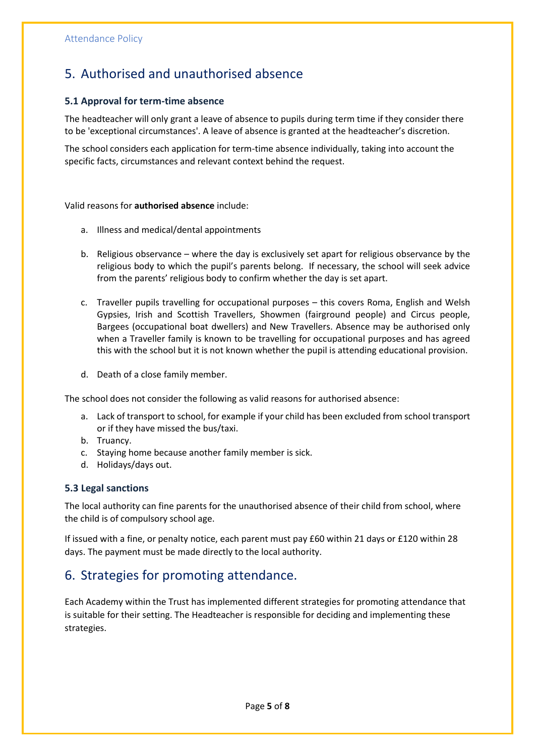### 5. Authorised and unauthorised absence

#### **5.1 Approval for term-time absence**

The headteacher will only grant a leave of absence to pupils during term time if they consider there to be 'exceptional circumstances'. A leave of absence is granted at the headteacher's discretion.

The school considers each application for term-time absence individually, taking into account the specific facts, circumstances and relevant context behind the request.

Valid reasons for **authorised absence** include:

- a. Illness and medical/dental appointments
- b. Religious observance where the day is exclusively set apart for religious observance by the religious body to which the pupil's parents belong. If necessary, the school will seek advice from the parents' religious body to confirm whether the day is set apart.
- c. Traveller pupils travelling for occupational purposes this covers Roma, English and Welsh Gypsies, Irish and Scottish Travellers, Showmen (fairground people) and Circus people, Bargees (occupational boat dwellers) and New Travellers. Absence may be authorised only when a Traveller family is known to be travelling for occupational purposes and has agreed this with the school but it is not known whether the pupil is attending educational provision.
- d. Death of a close family member.

The school does not consider the following as valid reasons for authorised absence:

- a. Lack of transport to school, for example if your child has been excluded from school transport or if they have missed the bus/taxi.
- b. Truancy.
- c. Staying home because another family member is sick.
- d. Holidays/days out.

#### **5.3 Legal sanctions**

The local authority can fine parents for the unauthorised absence of their child from school, where the child is of compulsory school age.

If issued with a fine, or penalty notice, each parent must pay £60 within 21 days or £120 within 28 days. The payment must be made directly to the local authority.

### 6. Strategies for promoting attendance.

Each Academy within the Trust has implemented different strategies for promoting attendance that is suitable for their setting. The Headteacher is responsible for deciding and implementing these strategies.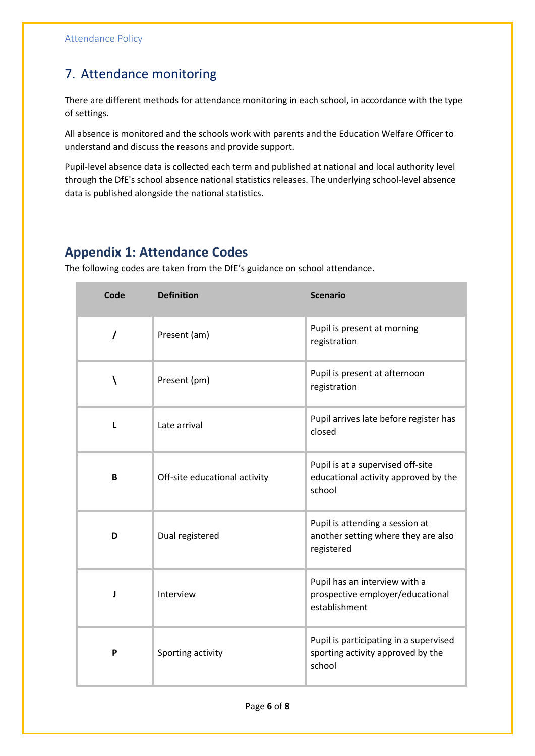### 7. Attendance monitoring

There are different methods for attendance monitoring in each school, in accordance with the type of settings.

All absence is monitored and the schools work with parents and the Education Welfare Officer to understand and discuss the reasons and provide support.

Pupil-level absence data is collected each term and published at national and local authority level through the DfE's school absence national statistics releases. The underlying school-level absence data is published alongside the national statistics.

### **Appendix 1: Attendance Codes**

The following codes are taken from the DfE's guidance on school attendance.

| Code     | <b>Definition</b>             | <b>Scenario</b>                                                                       |
|----------|-------------------------------|---------------------------------------------------------------------------------------|
| $\prime$ | Present (am)                  | Pupil is present at morning<br>registration                                           |
| ١        | Present (pm)                  | Pupil is present at afternoon<br>registration                                         |
|          | Late arrival                  | Pupil arrives late before register has<br>closed                                      |
| B        | Off-site educational activity | Pupil is at a supervised off-site<br>educational activity approved by the<br>school   |
| D        | Dual registered               | Pupil is attending a session at<br>another setting where they are also<br>registered  |
| J        | Interview                     | Pupil has an interview with a<br>prospective employer/educational<br>establishment    |
| P        | Sporting activity             | Pupil is participating in a supervised<br>sporting activity approved by the<br>school |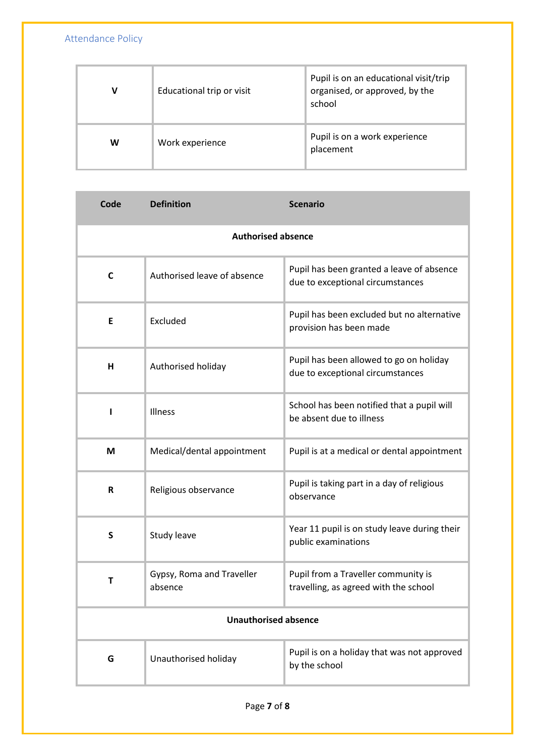Attendance Policy

| v | Educational trip or visit | Pupil is on an educational visit/trip<br>organised, or approved, by the<br>school |
|---|---------------------------|-----------------------------------------------------------------------------------|
| W | Work experience           | Pupil is on a work experience<br>placement                                        |

| Code                        | <b>Definition</b>                    | <b>Scenario</b>                                                               |
|-----------------------------|--------------------------------------|-------------------------------------------------------------------------------|
| <b>Authorised absence</b>   |                                      |                                                                               |
| $\mathsf{C}$                | Authorised leave of absence          | Pupil has been granted a leave of absence<br>due to exceptional circumstances |
| Е                           | Excluded                             | Pupil has been excluded but no alternative<br>provision has been made         |
| н                           | Authorised holiday                   | Pupil has been allowed to go on holiday<br>due to exceptional circumstances   |
|                             | Illness                              | School has been notified that a pupil will<br>be absent due to illness        |
| M                           | Medical/dental appointment           | Pupil is at a medical or dental appointment                                   |
| $\mathsf{R}$                | Religious observance                 | Pupil is taking part in a day of religious<br>observance                      |
| S                           | Study leave                          | Year 11 pupil is on study leave during their<br>public examinations           |
| т                           | Gypsy, Roma and Traveller<br>absence | Pupil from a Traveller community is<br>travelling, as agreed with the school  |
| <b>Unauthorised absence</b> |                                      |                                                                               |
| G                           | Unauthorised holiday                 | Pupil is on a holiday that was not approved<br>by the school                  |